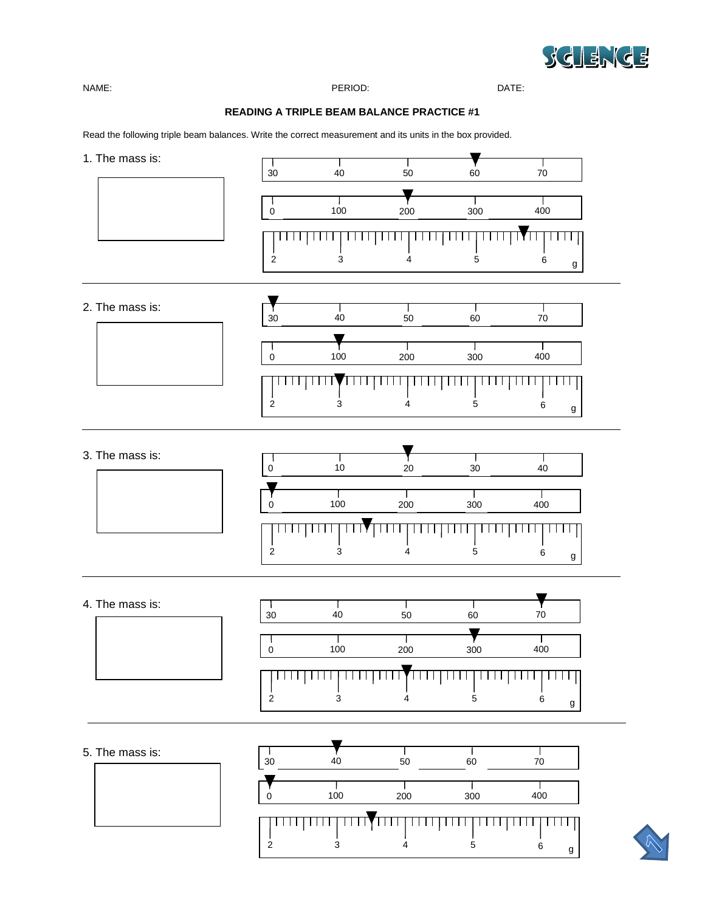

NAME: PERIOD: DATE:

## **READING A TRIPLE BEAM BALANCE PRACTICE #1**

Read the following triple beam balances. Write the correct measurement and its units in the box provided.